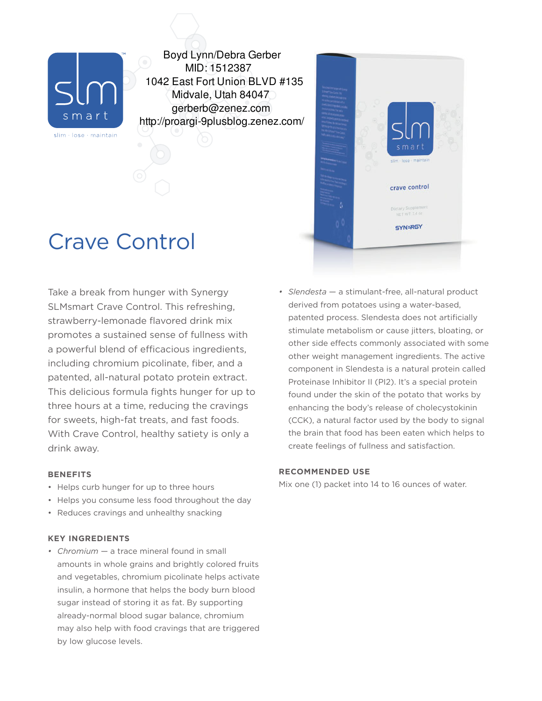

slim · lose · maintain

Boyd Lynn/Debra Gerber MID: 1512387 1042 East Fort Union BLVD #135 Midvale, Utah 84047 gerberb@zenez.com http://proargi-9plusblog.zenez.com/

# Crave Control

Take a break from hunger with Synergy SLMsmart Crave Control. This refreshing, strawberry-lemonade flavored drink mix promotes a sustained sense of fullness with a powerful blend of efficacious ingredients, including chromium picolinate, fiber, and a patented, all-natural potato protein extract. This delicious formula fights hunger for up to three hours at a time, reducing the cravings for sweets, high-fat treats, and fast foods. With Crave Control, healthy satiety is only a drink away.

#### **BENEFITS**

- Helps curb hunger for up to three hours
- Helps you consume less food throughout the day
- Reduces cravings and unhealthy snacking

#### **KEY INGREDIENTS**

*• Chromium* — a trace mineral found in small amounts in whole grains and brightly colored fruits and vegetables, chromium picolinate helps activate insulin, a hormone that helps the body burn blood sugar instead of storing it as fat. By supporting already-normal blood sugar balance, chromium may also help with food cravings that are triggered by low glucose levels.



*• Slendesta* — a stimulant-free, all-natural product derived from potatoes using a water-based, patented process. Slendesta does not artificially stimulate metabolism or cause jitters, bloating, or other side effects commonly associated with some other weight management ingredients. The active component in Slendesta is a natural protein called Proteinase Inhibitor II (PI2). It's a special protein found under the skin of the potato that works by enhancing the body's release of cholecystokinin (CCK), a natural factor used by the body to signal the brain that food has been eaten which helps to create feelings of fullness and satisfaction.

#### **RECOMMENDED USE**

Mix one (1) packet into 14 to 16 ounces of water.